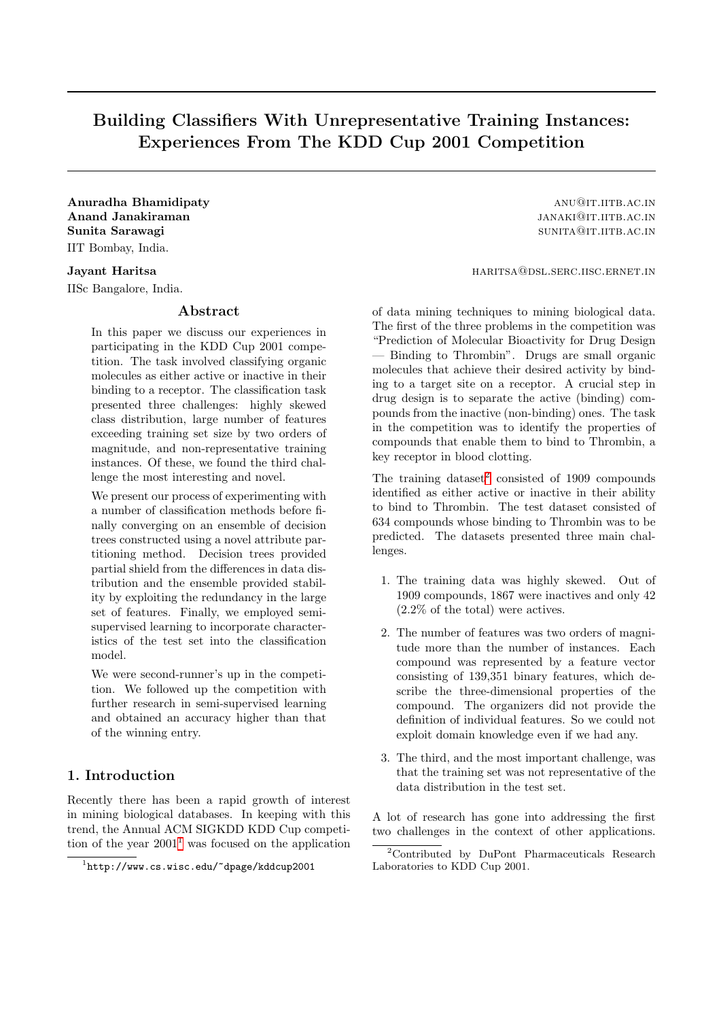# Building Classifiers With Unrepresentative Training Instances: Experiences From The KDD Cup 2001 Competition

Anuradha Bhamidipaty and a structure and a structure and a structure and a structure and a structure and a structure and a structure and a structure and a structure and a structure and a structure and a structure and a str Anand Janakiraman janakiraman janakiraman janakiraman janakiraman janakiraman janakiraman janakiraman janakiram Sunita Sarawagi sunita Sarawagi sunita Sarawagi sunita Sarawagi sunita Sarawagi sunita Sarawagi sunita Sarawagi IIT Bombay, India.

IISc Bangalore, India.

## Abstract

In this paper we discuss our experiences in participating in the KDD Cup 2001 competition. The task involved classifying organic molecules as either active or inactive in their binding to a receptor. The classification task presented three challenges: highly skewed class distribution, large number of features exceeding training set size by two orders of magnitude, and non-representative training instances. Of these, we found the third challenge the most interesting and novel.

We present our process of experimenting with a number of classification methods before finally converging on an ensemble of decision trees constructed using a novel attribute partitioning method. Decision trees provided partial shield from the differences in data distribution and the ensemble provided stability by exploiting the redundancy in the large set of features. Finally, we employed semisupervised learning to incorporate characteristics of the test set into the classification model.

We were second-runner's up in the competition. We followed up the competition with further research in semi-supervised learning and obtained an accuracy higher than that of the winning entry.

# 1. Introduction

Recently there has been a rapid growth of interest in mining biological databases. In keeping with this trend, the Annual ACM SIGKDD KDD Cup competition of the year  $2001<sup>1</sup>$  $2001<sup>1</sup>$  $2001<sup>1</sup>$  was focused on the application

**Jayant Haritsa** haritsa haritsa haritsa haritsa haritsa haritsa haritsa haritsa haritsa haritsa haritsa haritsa haritsa haritsa haritsa haritsa haritsa haritsa haritsa haritsa haritsa haritsa haritsa haritsa haritsa harit

of data mining techniques to mining biological data. The first of the three problems in the competition was "Prediction of Molecular Bioactivity for Drug Design — Binding to Thrombin". Drugs are small organic molecules that achieve their desired activity by binding to a target site on a receptor. A crucial step in drug design is to separate the active (binding) compounds from the inactive (non-binding) ones. The task in the competition was to identify the properties of compounds that enable them to bind to Thrombin, a key receptor in blood clotting.

The training dataset<sup>[2](#page-0-1)</sup> consisted of 1909 compounds identified as either active or inactive in their ability to bind to Thrombin. The test dataset consisted of 634 compounds whose binding to Thrombin was to be predicted. The datasets presented three main challenges.

- 1. The training data was highly skewed. Out of 1909 compounds, 1867 were inactives and only 42 (2.2% of the total) were actives.
- 2. The number of features was two orders of magnitude more than the number of instances. Each compound was represented by a feature vector consisting of 139,351 binary features, which describe the three-dimensional properties of the compound. The organizers did not provide the definition of individual features. So we could not exploit domain knowledge even if we had any.
- 3. The third, and the most important challenge, was that the training set was not representative of the data distribution in the test set.

A lot of research has gone into addressing the first two challenges in the context of other applications.

<span id="page-0-0"></span><sup>1</sup> http://www.cs.wisc.edu/~dpage/kddcup2001

<span id="page-0-1"></span><sup>2</sup>Contributed by DuPont Pharmaceuticals Research Laboratories to KDD Cup 2001.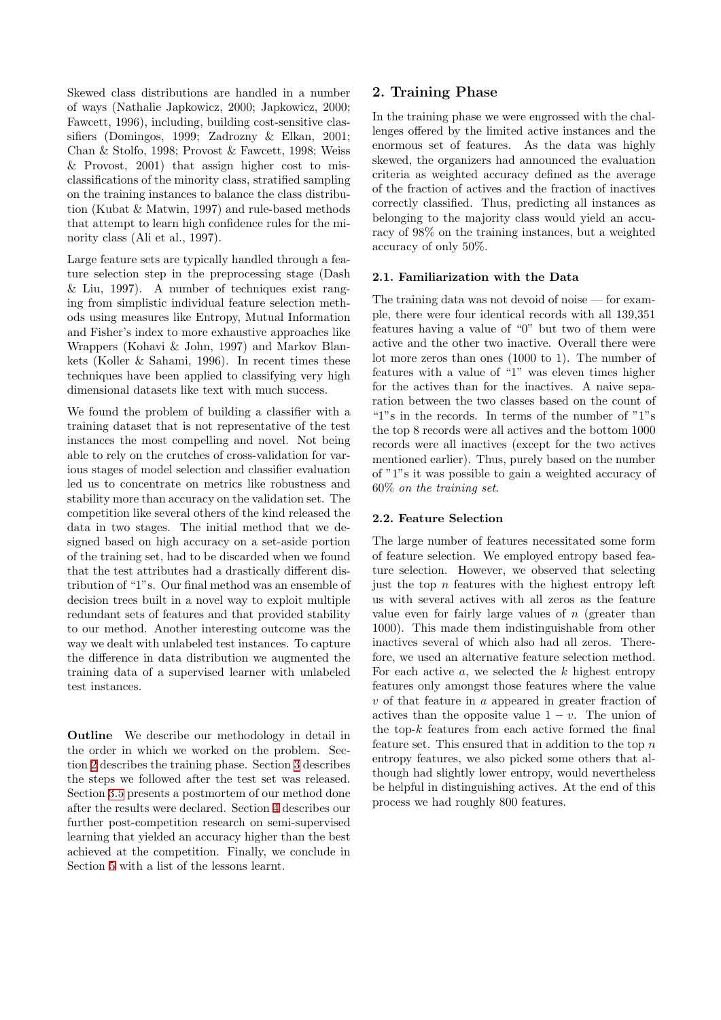Skewed class distributions are handled in a number of ways (Nathalie Japkowicz, 2000; Japkowicz, 2000; Fawcett, 1996), including, building cost-sensitive classifiers (Domingos, 1999; Zadrozny & Elkan, 2001; Chan & Stolfo, 1998; Provost & Fawcett, 1998; Weiss & Provost, 2001) that assign higher cost to misclassifications of the minority class, stratified sampling on the training instances to balance the class distribution (Kubat & Matwin, 1997) and rule-based methods that attempt to learn high confidence rules for the minority class (Ali et al., 1997).

Large feature sets are typically handled through a feature selection step in the preprocessing stage (Dash & Liu, 1997). A number of techniques exist ranging from simplistic individual feature selection methods using measures like Entropy, Mutual Information and Fisher's index to more exhaustive approaches like Wrappers (Kohavi & John, 1997) and Markov Blankets (Koller & Sahami, 1996). In recent times these techniques have been applied to classifying very high dimensional datasets like text with much success.

We found the problem of building a classifier with a training dataset that is not representative of the test instances the most compelling and novel. Not being able to rely on the crutches of cross-validation for various stages of model selection and classifier evaluation led us to concentrate on metrics like robustness and stability more than accuracy on the validation set. The competition like several others of the kind released the data in two stages. The initial method that we designed based on high accuracy on a set-aside portion of the training set, had to be discarded when we found that the test attributes had a drastically different distribution of "1"s. Our final method was an ensemble of decision trees built in a novel way to exploit multiple redundant sets of features and that provided stability to our method. Another interesting outcome was the way we dealt with unlabeled test instances. To capture the difference in data distribution we augmented the training data of a supervised learner with unlabeled test instances.

Outline We describe our methodology in detail in the order in which we worked on the problem. Section [2](#page-1-0) describes the training phase. Section [3](#page-3-0) describes the steps we followed after the test set was released. Section [3.5](#page-5-0) presents a postmortem of our method done after the results were declared. Section [4](#page-5-1) describes our further post-competition research on semi-supervised learning that yielded an accuracy higher than the best achieved at the competition. Finally, we conclude in Section [5](#page-6-0) with a list of the lessons learnt.

## <span id="page-1-0"></span>2. Training Phase

In the training phase we were engrossed with the challenges offered by the limited active instances and the enormous set of features. As the data was highly skewed, the organizers had announced the evaluation criteria as weighted accuracy defined as the average of the fraction of actives and the fraction of inactives correctly classified. Thus, predicting all instances as belonging to the majority class would yield an accuracy of 98% on the training instances, but a weighted accuracy of only 50%.

## 2.1. Familiarization with the Data

The training data was not devoid of noise — for example, there were four identical records with all 139,351 features having a value of "0" but two of them were active and the other two inactive. Overall there were lot more zeros than ones (1000 to 1). The number of features with a value of "1" was eleven times higher for the actives than for the inactives. A naive separation between the two classes based on the count of "1"s in the records. In terms of the number of "1"s the top 8 records were all actives and the bottom 1000 records were all inactives (except for the two actives mentioned earlier). Thus, purely based on the number of "1"s it was possible to gain a weighted accuracy of 60% on the training set.

#### 2.2. Feature Selection

The large number of features necessitated some form of feature selection. We employed entropy based feature selection. However, we observed that selecting just the top  $n$  features with the highest entropy left us with several actives with all zeros as the feature value even for fairly large values of  $n$  (greater than 1000). This made them indistinguishable from other inactives several of which also had all zeros. Therefore, we used an alternative feature selection method. For each active  $a$ , we selected the  $k$  highest entropy features only amongst those features where the value  $v$  of that feature in  $a$  appeared in greater fraction of actives than the opposite value  $1 - v$ . The union of the top- $k$  features from each active formed the final feature set. This ensured that in addition to the top  $n$ entropy features, we also picked some others that although had slightly lower entropy, would nevertheless be helpful in distinguishing actives. At the end of this process we had roughly 800 features.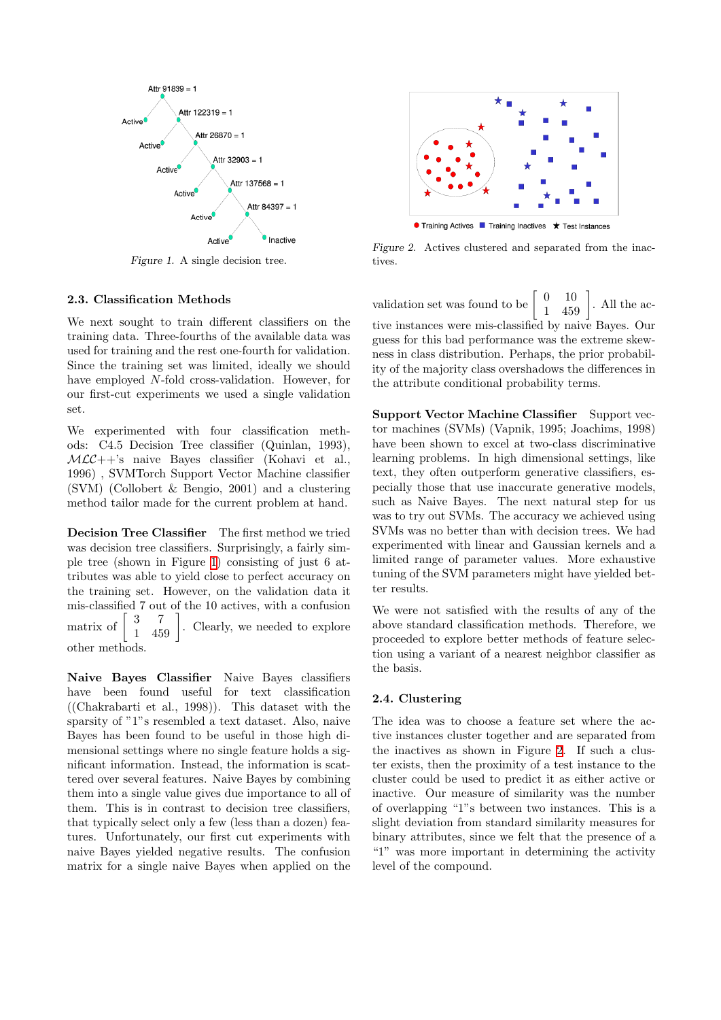

<span id="page-2-0"></span>Figure 1. A single decision tree.

## 2.3. Classification Methods

We next sought to train different classifiers on the training data. Three-fourths of the available data was used for training and the rest one-fourth for validation. Since the training set was limited, ideally we should have employed N-fold cross-validation. However, for our first-cut experiments we used a single validation set.

We experimented with four classification methods: C4.5 Decision Tree classifier (Quinlan, 1993),  $MLC++$ 's naive Bayes classifier (Kohavi et al., 1996) , SVMTorch Support Vector Machine classifier (SVM) (Collobert & Bengio, 2001) and a clustering method tailor made for the current problem at hand.

Decision Tree Classifier The first method we tried was decision tree classifiers. Surprisingly, a fairly simple tree (shown in Figure [1](#page-2-0)) consisting of just 6 attributes was able to yield close to perfect accuracy on the training set. However, on the validation data it mis-classified 7 out of the 10 actives, with a confusion matrix of  $\begin{bmatrix} 3 & 7 \\ 1 & 459 \end{bmatrix}$ . Clearly, we needed to explore other methods.

Naive Bayes Classifier Naive Bayes classifiers have been found useful for text classification ((Chakrabarti et al., 1998)). This dataset with the sparsity of "1"s resembled a text dataset. Also, naive Bayes has been found to be useful in those high dimensional settings where no single feature holds a significant information. Instead, the information is scattered over several features. Naive Bayes by combining them into a single value gives due importance to all of them. This is in contrast to decision tree classifiers, that typically select only a few (less than a dozen) features. Unfortunately, our first cut experiments with naive Bayes yielded negative results. The confusion matrix for a single naive Bayes when applied on the



<span id="page-2-1"></span>Figure 2. Actives clustered and separated from the inactives.

validation set was found to be  $\begin{bmatrix} 0 & 10 \\ 1 & 459 \end{bmatrix}$ . All the active instances were mis-classified by naive Bayes. Our guess for this bad performance was the extreme skewness in class distribution. Perhaps, the prior probability of the majority class overshadows the differences in the attribute conditional probability terms.

Support Vector Machine Classifier Support vector machines (SVMs) (Vapnik, 1995; Joachims, 1998) have been shown to excel at two-class discriminative learning problems. In high dimensional settings, like text, they often outperform generative classifiers, especially those that use inaccurate generative models, such as Naive Bayes. The next natural step for us was to try out SVMs. The accuracy we achieved using SVMs was no better than with decision trees. We had experimented with linear and Gaussian kernels and a limited range of parameter values. More exhaustive tuning of the SVM parameters might have yielded better results.

We were not satisfied with the results of any of the above standard classification methods. Therefore, we proceeded to explore better methods of feature selection using a variant of a nearest neighbor classifier as the basis.

#### 2.4. Clustering

The idea was to choose a feature set where the active instances cluster together and are separated from the inactives as shown in Figure [2.](#page-2-1) If such a cluster exists, then the proximity of a test instance to the cluster could be used to predict it as either active or inactive. Our measure of similarity was the number of overlapping "1"s between two instances. This is a slight deviation from standard similarity measures for binary attributes, since we felt that the presence of a "1" was more important in determining the activity level of the compound.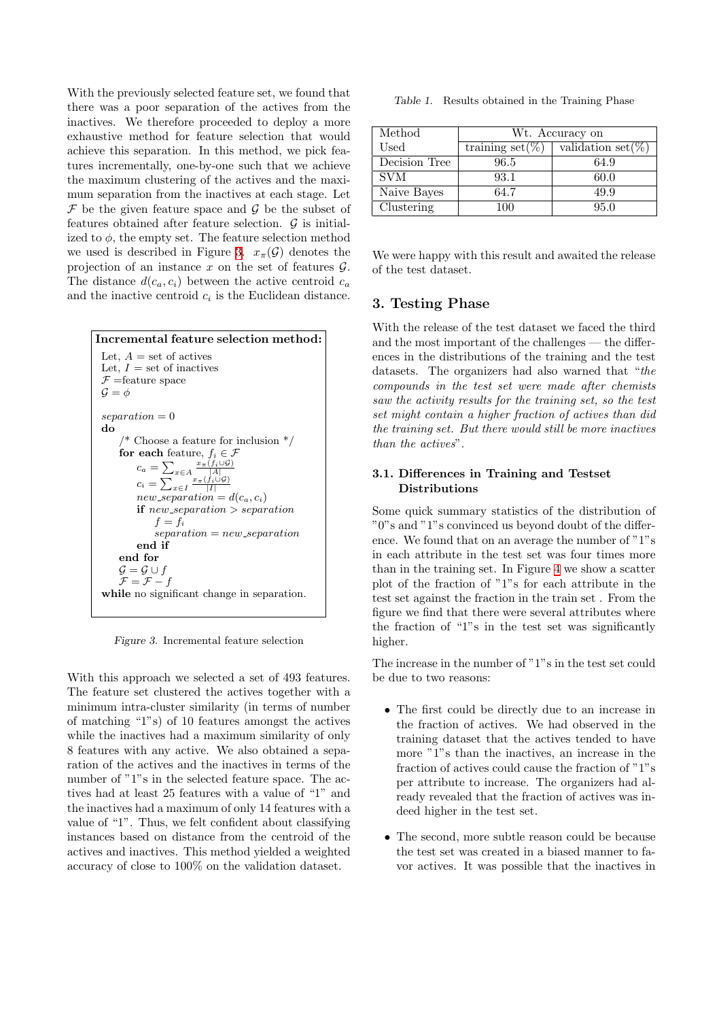With the previously selected feature set, we found that there was a poor separation of the actives from the inactives. We therefore proceeded to deploy a more exhaustive method for feature selection that would achieve this separation. In this method, we pick features incrementally, one-by-one such that we achieve the maximum clustering of the actives and the maximum separation from the inactives at each stage. Let  $\mathcal F$  be the given feature space and  $\mathcal G$  be the subset of features obtained after feature selection.  $\mathcal G$  is initialized to  $\phi$ , the empty set. The feature selection method we used is described in Figure [3.](#page-3-1)  $x_{\pi}(\mathcal{G})$  denotes the projection of an instance x on the set of features  $\mathcal{G}$ . The distance  $d(c_a, c_i)$  between the active centroid  $c_a$ and the inactive centroid  $c_i$  is the Euclidean distance.



<span id="page-3-1"></span>Figure 3. Incremental feature selection

With this approach we selected a set of 493 features. The feature set clustered the actives together with a minimum intra-cluster similarity (in terms of number of matching "1"s) of 10 features amongst the actives while the inactives had a maximum similarity of only 8 features with any active. We also obtained a separation of the actives and the inactives in terms of the number of "1"s in the selected feature space. The actives had at least 25 features with a value of "1" and the inactives had a maximum of only 14 features with a value of "1". Thus, we felt confident about classifying instances based on distance from the centroid of the actives and inactives. This method yielded a weighted accuracy of close to 100% on the validation dataset.

Table 1. Results obtained in the Training Phase

| Method        | Wt. Accuracy on     |                        |
|---------------|---------------------|------------------------|
| $_{\rm Used}$ | training set $(\%)$ | validation set( $\%$ ) |
| Decision Tree | 96.5                | 64.9                   |
| <b>SVM</b>    | 93.1                | 60.0                   |
| Naive Bayes   | 64.7                | 49.9                   |
| Clustering    | 100                 | 95.0                   |

We were happy with this result and awaited the release of the test dataset.

# <span id="page-3-0"></span>3. Testing Phase

With the release of the test dataset we faced the third and the most important of the challenges — the differences in the distributions of the training and the test datasets. The organizers had also warned that "the compounds in the test set were made after chemists saw the activity results for the training set, so the test set might contain a higher fraction of actives than did the training set. But there would still be more inactives than the actives".

#### 3.1. Differences in Training and Testset Distributions

Some quick summary statistics of the distribution of "0"s and "1"s convinced us beyond doubt of the difference. We found that on an average the number of "1"s in each attribute in the test set was four times more than in the training set. In Figure [4](#page-4-0) we show a scatter plot of the fraction of "1"s for each attribute in the test set against the fraction in the train set . From the figure we find that there were several attributes where the fraction of "1"s in the test set was significantly higher.

The increase in the number of "1"s in the test set could be due to two reasons:

- The first could be directly due to an increase in the fraction of actives. We had observed in the training dataset that the actives tended to have more "1"s than the inactives, an increase in the fraction of actives could cause the fraction of "1"s per attribute to increase. The organizers had already revealed that the fraction of actives was indeed higher in the test set.
- The second, more subtle reason could be because the test set was created in a biased manner to favor actives. It was possible that the inactives in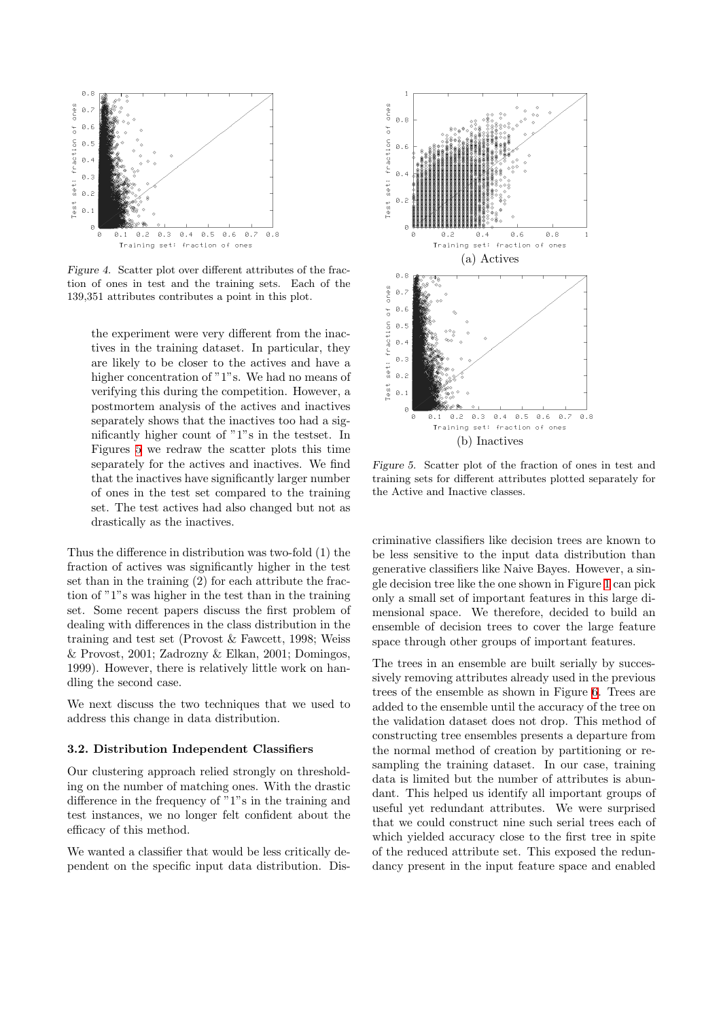

<span id="page-4-0"></span>Figure 4. Scatter plot over different attributes of the fraction of ones in test and the training sets. Each of the 139,351 attributes contributes a point in this plot.

the experiment were very different from the inactives in the training dataset. In particular, they are likely to be closer to the actives and have a higher concentration of "1"s. We had no means of verifying this during the competition. However, a postmortem analysis of the actives and inactives separately shows that the inactives too had a significantly higher count of "1"s in the testset. In Figures [5](#page-4-1) we redraw the scatter plots this time separately for the actives and inactives. We find that the inactives have significantly larger number of ones in the test set compared to the training set. The test actives had also changed but not as drastically as the inactives.

Thus the difference in distribution was two-fold (1) the fraction of actives was significantly higher in the test set than in the training (2) for each attribute the fraction of "1"s was higher in the test than in the training set. Some recent papers discuss the first problem of dealing with differences in the class distribution in the training and test set (Provost & Fawcett, 1998; Weiss & Provost, 2001; Zadrozny & Elkan, 2001; Domingos, 1999). However, there is relatively little work on handling the second case.

We next discuss the two techniques that we used to address this change in data distribution.

## 3.2. Distribution Independent Classifiers

Our clustering approach relied strongly on thresholding on the number of matching ones. With the drastic difference in the frequency of "1"s in the training and test instances, we no longer felt confident about the efficacy of this method.

We wanted a classifier that would be less critically dependent on the specific input data distribution. Dis-



<span id="page-4-1"></span>Figure 5. Scatter plot of the fraction of ones in test and training sets for different attributes plotted separately for the Active and Inactive classes.

criminative classifiers like decision trees are known to be less sensitive to the input data distribution than generative classifiers like Naive Bayes. However, a single decision tree like the one shown in Figure [1](#page-2-0) can pick only a small set of important features in this large dimensional space. We therefore, decided to build an ensemble of decision trees to cover the large feature space through other groups of important features.

The trees in an ensemble are built serially by successively removing attributes already used in the previous trees of the ensemble as shown in Figure [6.](#page-5-2) Trees are added to the ensemble until the accuracy of the tree on the validation dataset does not drop. This method of constructing tree ensembles presents a departure from the normal method of creation by partitioning or resampling the training dataset. In our case, training data is limited but the number of attributes is abundant. This helped us identify all important groups of useful yet redundant attributes. We were surprised that we could construct nine such serial trees each of which yielded accuracy close to the first tree in spite of the reduced attribute set. This exposed the redundancy present in the input feature space and enabled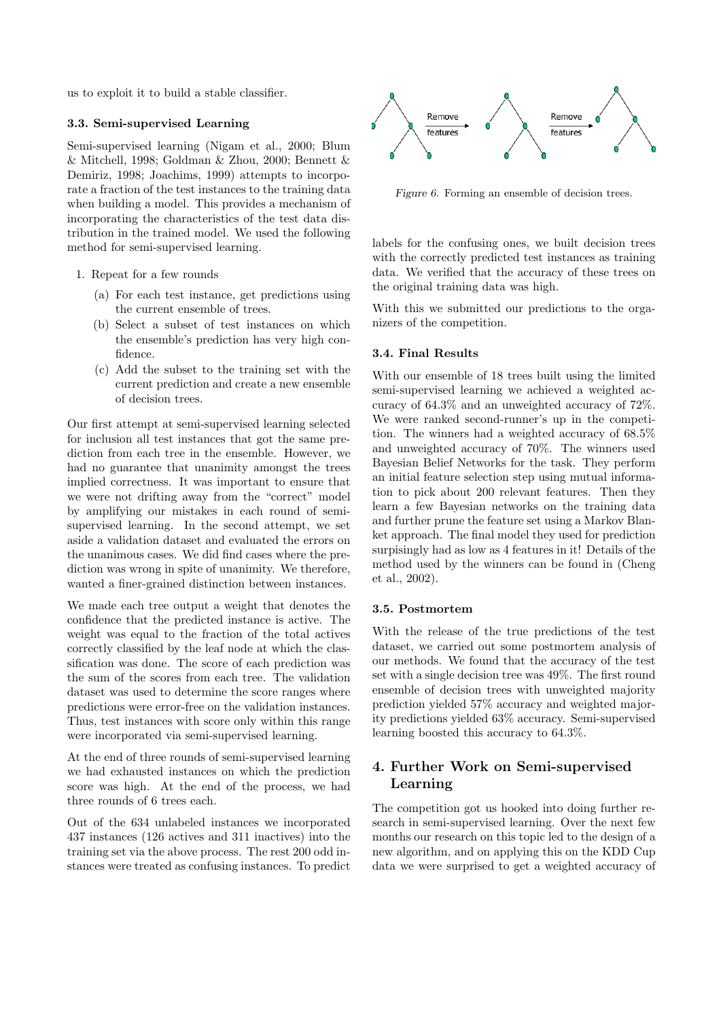us to exploit it to build a stable classifier.

#### 3.3. Semi-supervised Learning

Semi-supervised learning (Nigam et al., 2000; Blum & Mitchell, 1998; Goldman & Zhou, 2000; Bennett & Demiriz, 1998; Joachims, 1999) attempts to incorporate a fraction of the test instances to the training data when building a model. This provides a mechanism of incorporating the characteristics of the test data distribution in the trained model. We used the following method for semi-supervised learning.

- 1. Repeat for a few rounds
	- (a) For each test instance, get predictions using the current ensemble of trees.
	- (b) Select a subset of test instances on which the ensemble's prediction has very high confidence.
	- (c) Add the subset to the training set with the current prediction and create a new ensemble of decision trees.

Our first attempt at semi-supervised learning selected for inclusion all test instances that got the same prediction from each tree in the ensemble. However, we had no guarantee that unanimity amongst the trees implied correctness. It was important to ensure that we were not drifting away from the "correct" model by amplifying our mistakes in each round of semisupervised learning. In the second attempt, we set aside a validation dataset and evaluated the errors on the unanimous cases. We did find cases where the prediction was wrong in spite of unanimity. We therefore, wanted a finer-grained distinction between instances.

We made each tree output a weight that denotes the confidence that the predicted instance is active. The weight was equal to the fraction of the total actives correctly classified by the leaf node at which the classification was done. The score of each prediction was the sum of the scores from each tree. The validation dataset was used to determine the score ranges where predictions were error-free on the validation instances. Thus, test instances with score only within this range were incorporated via semi-supervised learning.

At the end of three rounds of semi-supervised learning we had exhausted instances on which the prediction score was high. At the end of the process, we had three rounds of 6 trees each.

Out of the 634 unlabeled instances we incorporated 437 instances (126 actives and 311 inactives) into the training set via the above process. The rest 200 odd instances were treated as confusing instances. To predict



<span id="page-5-2"></span>Figure 6. Forming an ensemble of decision trees.

labels for the confusing ones, we built decision trees with the correctly predicted test instances as training data. We verified that the accuracy of these trees on the original training data was high.

With this we submitted our predictions to the organizers of the competition.

#### 3.4. Final Results

With our ensemble of 18 trees built using the limited semi-supervised learning we achieved a weighted accuracy of 64.3% and an unweighted accuracy of 72%. We were ranked second-runner's up in the competition. The winners had a weighted accuracy of 68.5% and unweighted accuracy of 70%. The winners used Bayesian Belief Networks for the task. They perform an initial feature selection step using mutual information to pick about 200 relevant features. Then they learn a few Bayesian networks on the training data and further prune the feature set using a Markov Blanket approach. The final model they used for prediction surpisingly had as low as 4 features in it! Details of the method used by the winners can be found in (Cheng et al., 2002).

#### <span id="page-5-0"></span>3.5. Postmortem

With the release of the true predictions of the test dataset, we carried out some postmortem analysis of our methods. We found that the accuracy of the test set with a single decision tree was 49%. The first round ensemble of decision trees with unweighted majority prediction yielded 57% accuracy and weighted majority predictions yielded 63% accuracy. Semi-supervised learning boosted this accuracy to 64.3%.

# <span id="page-5-1"></span>4. Further Work on Semi-supervised Learning

The competition got us hooked into doing further research in semi-supervised learning. Over the next few months our research on this topic led to the design of a new algorithm, and on applying this on the KDD Cup data we were surprised to get a weighted accuracy of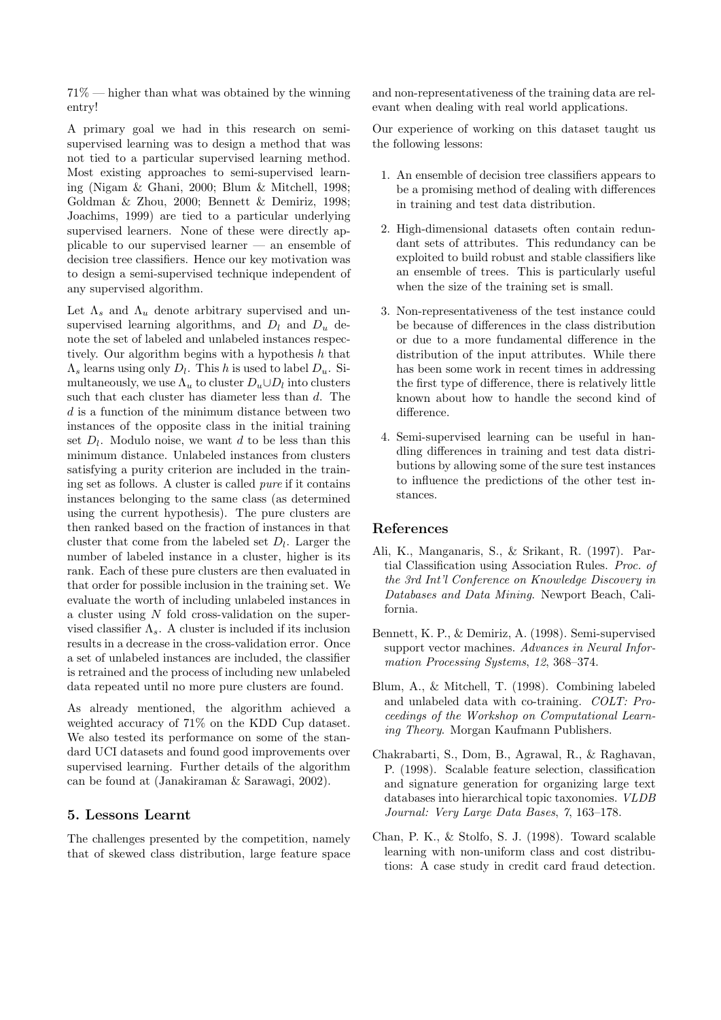71% — higher than what was obtained by the winning entry!

A primary goal we had in this research on semisupervised learning was to design a method that was not tied to a particular supervised learning method. Most existing approaches to semi-supervised learning (Nigam & Ghani, 2000; Blum & Mitchell, 1998; Goldman & Zhou, 2000; Bennett & Demiriz, 1998; Joachims, 1999) are tied to a particular underlying supervised learners. None of these were directly applicable to our supervised learner — an ensemble of decision tree classifiers. Hence our key motivation was to design a semi-supervised technique independent of any supervised algorithm.

Let  $\Lambda_s$  and  $\Lambda_u$  denote arbitrary supervised and unsupervised learning algorithms, and  $D_l$  and  $D_u$  denote the set of labeled and unlabeled instances respectively. Our algorithm begins with a hypothesis  $h$  that  $\Lambda_s$  learns using only  $D_l$ . This h is used to label  $D_u$ . Simultaneously, we use  $\Lambda_u$  to cluster  $D_u \cup D_l$  into clusters such that each cluster has diameter less than d. The d is a function of the minimum distance between two instances of the opposite class in the initial training set  $D_l$ . Modulo noise, we want d to be less than this minimum distance. Unlabeled instances from clusters satisfying a purity criterion are included in the training set as follows. A cluster is called pure if it contains instances belonging to the same class (as determined using the current hypothesis). The pure clusters are then ranked based on the fraction of instances in that cluster that come from the labeled set  $D_l$ . Larger the number of labeled instance in a cluster, higher is its rank. Each of these pure clusters are then evaluated in that order for possible inclusion in the training set. We evaluate the worth of including unlabeled instances in a cluster using N fold cross-validation on the supervised classifier  $\Lambda_s$ . A cluster is included if its inclusion results in a decrease in the cross-validation error. Once a set of unlabeled instances are included, the classifier is retrained and the process of including new unlabeled data repeated until no more pure clusters are found.

As already mentioned, the algorithm achieved a weighted accuracy of 71% on the KDD Cup dataset. We also tested its performance on some of the standard UCI datasets and found good improvements over supervised learning. Further details of the algorithm can be found at (Janakiraman & Sarawagi, 2002).

# <span id="page-6-0"></span>5. Lessons Learnt

The challenges presented by the competition, namely that of skewed class distribution, large feature space and non-representativeness of the training data are relevant when dealing with real world applications.

Our experience of working on this dataset taught us the following lessons:

- 1. An ensemble of decision tree classifiers appears to be a promising method of dealing with differences in training and test data distribution.
- 2. High-dimensional datasets often contain redundant sets of attributes. This redundancy can be exploited to build robust and stable classifiers like an ensemble of trees. This is particularly useful when the size of the training set is small.
- 3. Non-representativeness of the test instance could be because of differences in the class distribution or due to a more fundamental difference in the distribution of the input attributes. While there has been some work in recent times in addressing the first type of difference, there is relatively little known about how to handle the second kind of difference.
- 4. Semi-supervised learning can be useful in handling differences in training and test data distributions by allowing some of the sure test instances to influence the predictions of the other test instances.

#### References

- Ali, K., Manganaris, S., & Srikant, R. (1997). Partial Classification using Association Rules. Proc. of the 3rd Int'l Conference on Knowledge Discovery in Databases and Data Mining. Newport Beach, California.
- Bennett, K. P., & Demiriz, A. (1998). Semi-supervised support vector machines. Advances in Neural Information Processing Systems, 12, 368–374.
- Blum, A., & Mitchell, T. (1998). Combining labeled and unlabeled data with co-training. COLT: Proceedings of the Workshop on Computational Learning Theory. Morgan Kaufmann Publishers.
- Chakrabarti, S., Dom, B., Agrawal, R., & Raghavan, P. (1998). Scalable feature selection, classification and signature generation for organizing large text databases into hierarchical topic taxonomies. VLDB Journal: Very Large Data Bases, 7, 163–178.
- Chan, P. K., & Stolfo, S. J. (1998). Toward scalable learning with non-uniform class and cost distributions: A case study in credit card fraud detection.